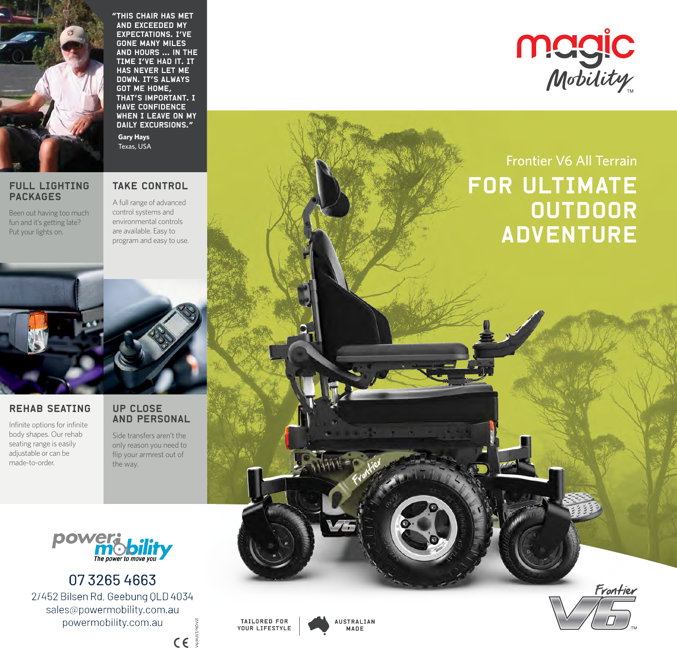

"This chair has met and exceeded my expectations. I've gone many miles and hours ... in the TIME I've had it. It has never let me DOWN. IT'S ALWAYS got me home, that's important. I have confidence WHEN I LEAVE ON MY DAILY EXCURSIONS." **Gary Hays** Texas, USA



### FULL LIGHTING PACKAGES

Been out having too much fun and it's getting late? Put your lights on.

# TAKE CONTROL

A full range of advanced control systems and environmental controls are available. Easy to program and easy to use.



# REHAB SEATING

Infinite options for infinite body shapes. Our rehab seating range is easily adjustable or can be made-to-order.

### UP CLOSE AND PERSONAL

Side transfers aren't the only reason you need to flip your armrest out of the way.



0732654663

2/452 Bilsen Rd, Geebung QLD 4034 sales@powermobility.com.au powermobility.com.au

V6/AUST/NOV21 $C \in \mathbb{R}$ 



**AUSTRALIAN** MADE



# outdoor **ADVENTURE**